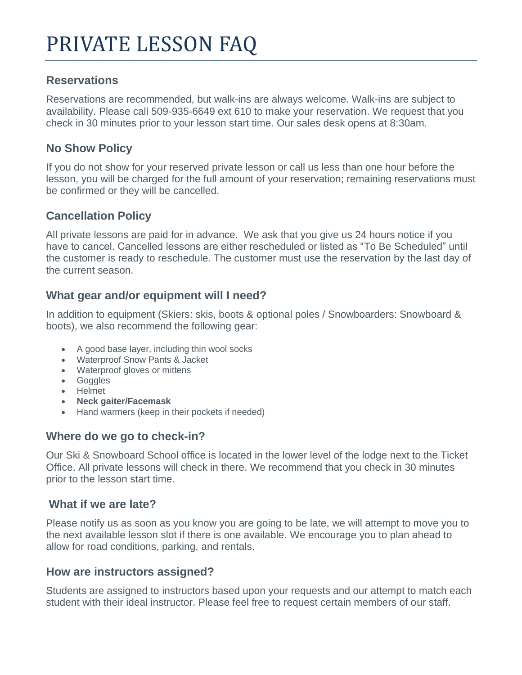# **Reservations**

Reservations are recommended, but walk-ins are always welcome. Walk-ins are subject to availability. Please call 509-935-6649 ext 610 to make your reservation. We request that you check in 30 minutes prior to your lesson start time. Our sales desk opens at 8:30am.

### **No Show Policy**

If you do not show for your reserved private lesson or call us less than one hour before the lesson, you will be charged for the full amount of your reservation; remaining reservations must be confirmed or they will be cancelled.

# **Cancellation Policy**

All private lessons are paid for in advance. We ask that you give us 24 hours notice if you have to cancel. Cancelled lessons are either rescheduled or listed as "To Be Scheduled" until the customer is ready to reschedule. The customer must use the reservation by the last day of the current season.

# **What gear and/or equipment will I need?**

In addition to equipment (Skiers: skis, boots & optional poles / Snowboarders: Snowboard & boots), we also recommend the following gear:

- A good base layer, including thin wool socks
- Waterproof Snow Pants & Jacket
- Waterproof gloves or mittens
- Goggles
- Helmet
- **Neck gaiter/Facemask**
- Hand warmers (keep in their pockets if needed)

# **Where do we go to check-in?**

Our Ski & Snowboard School office is located in the lower level of the lodge next to the Ticket Office. All private lessons will check in there. We recommend that you check in 30 minutes prior to the lesson start time.

#### **What if we are late?**

Please notify us as soon as you know you are going to be late, we will attempt to move you to the next available lesson slot if there is one available. We encourage you to plan ahead to allow for road conditions, parking, and rentals.

### **How are instructors assigned?**

Students are assigned to instructors based upon your requests and our attempt to match each student with their ideal instructor. Please feel free to request certain members of our staff.